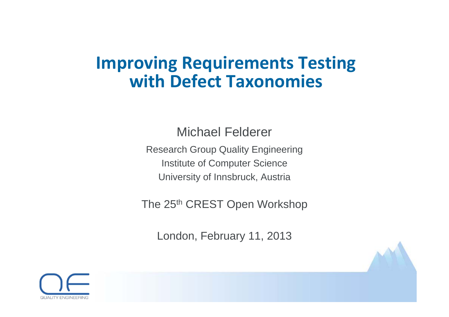## **Improving Requirements Testing with Defect Taxonomies**

Michael Felderer

Research Group Quality Engineering Institute of Computer Science University of Innsbruck, Austria

The 25<sup>th</sup> CREST Open Workshop

London, February 11, 2013

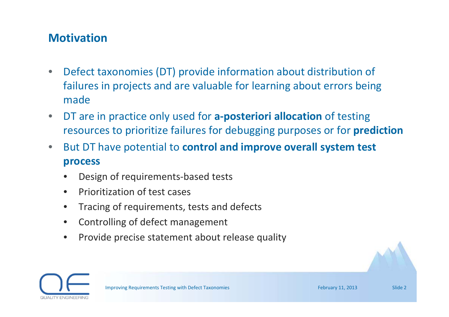### **Motivation**

- • Defect taxonomies (DT) provide information about distribution of failures in projects and are valuable for learning about errors being made
- • DT are in practice only used for **<sup>a</sup>‐posteriori allocation** of testing resources to prioritize failures for debugging purposes or for **prediction**
- $\bullet$  But DT have potential to **control and improve overall system test process**
	- •Design of requirements‐based tests
	- •• Prioritization of test cases
	- •Tracing of requirements, tests and defects
	- •Controlling of defect management
	- •• Provide precise statement about release quality

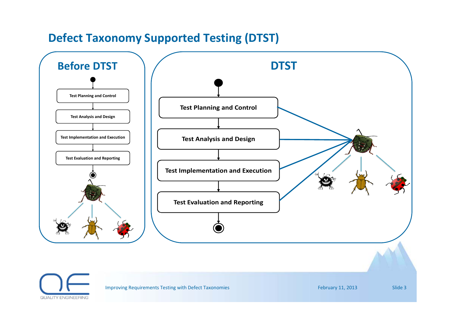### **Defect Taxonomy Supported Testing (DTST)**



Improving Requirements Testing with Defect Taxonomies February 11, 2013 Slide 3

**QUALITY ENGINEERING**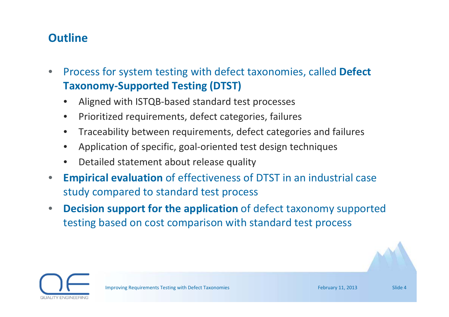### **Outline**

- • Process for system testing with defect taxonomies, called **Defect Taxonomy‐Supported Testing (DTST)**
	- •Aligned with ISTQB‐based standard test processes
	- $\bullet$ • Prioritized requirements, defect categories, failures
	- $\bullet$ Traceability between requirements, defect categories and failures
	- •Application of specific, goal‐oriented test design techniques
	- •Detailed statement about release quality
- • **Empirical evaluation** of effectiveness of DTST in an industrial case study compared to standard test process
- • **Decision support for the application** of defect taxonomy supported testing based on cost comparison with standard test process

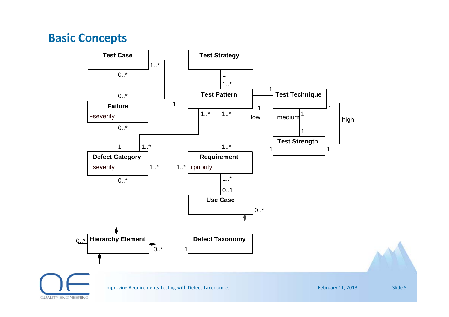### **Basic Concepts**

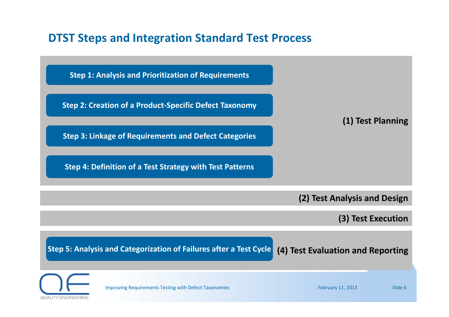### **DTST Steps and Integration Standard Test Process**

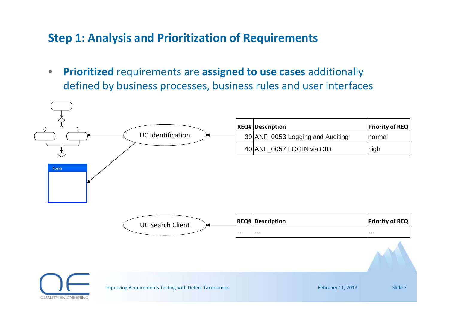### **Step 1: Analysis and Prioritization of Requirements**

 $\bullet$  **Prioritized** requirements are **assigned to use cases** additionally defined by business processes, business rules and user interfaces

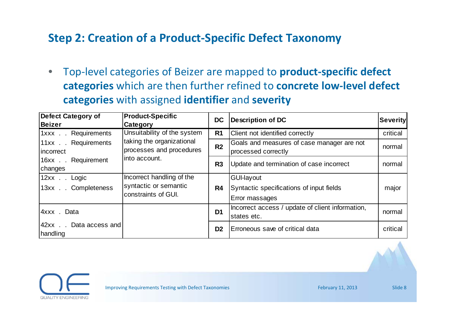### **Step 2: Creation of <sup>a</sup> Product‐Specific Defect Taxonomy**

 $\bullet$  Top‐level categories of Beizer are mapped to **product‐specific defect categories** which are then further refined to **concrete low‐level defect categories** with assigned **identifier** and **severity**

| Defect Category of               | <b>Product-Specific</b>     | <b>DC</b>      | Description of DC                                | <b>Severity</b> |
|----------------------------------|-----------------------------|----------------|--------------------------------------------------|-----------------|
| <b>Beizer</b>                    | Category                    |                |                                                  |                 |
| Requirements<br>$1$ xxx $\ldots$ | Unsuitability of the system | R <sub>1</sub> | <b>Client not identified correctly</b>           | critical        |
| Requirements<br>$11xx$ .         | taking the organizational   | R <sub>2</sub> | Goals and measures of case manager are not       | normal          |
| incorrect                        | processes and procedures    |                | processed correctly                              |                 |
| Requirement<br>$16xx$ .          | into account.               | R <sub>3</sub> | Update and termination of case incorrect         | normal          |
| changes                          |                             |                |                                                  |                 |
| $12xx$<br>Logic                  | Incorrect handling of the   |                | <b>GUI-layout</b>                                |                 |
| Completeness<br>$13xx$ .         | syntactic or semantic       | R <sub>4</sub> | Syntactic specifications of input fields         | major           |
|                                  | constraints of GUI.         |                | Error massages                                   |                 |
| 4xxx. Data                       |                             | D <sub>1</sub> | Incorrect access / update of client information, | normal          |
|                                  |                             |                | states etc.                                      |                 |
| 42xx Data access and             |                             | D <sub>2</sub> | Erroneous save of critical data                  | critical        |
| handling                         |                             |                |                                                  |                 |

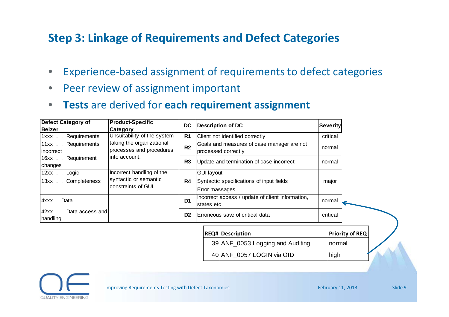### **Step 3: Linkage of Requirements and Defect Categories**

- $\bullet$ Experience‐based assignment of requirements to defect categories
- •• Peer review of assignment important
- •**Tests** are derived for **each requirement assignment**

| <b>Defect Category of</b>                   | <b>Product-Specific</b>                                                   | <b>DC</b>      |                                                                          |                                                                   |  | <b>Severity</b>        |
|---------------------------------------------|---------------------------------------------------------------------------|----------------|--------------------------------------------------------------------------|-------------------------------------------------------------------|--|------------------------|
| <b>Beizer</b><br><b>Category</b>            |                                                                           |                |                                                                          | <b>Description of DC</b>                                          |  |                        |
| Requirements<br>$1xxx$ .                    | Unsuitability of the system                                               | R <sub>1</sub> |                                                                          | Client not identified correctly                                   |  | critical               |
| Requirements<br>$11xx$ .<br>incorrect       | taking the organizational<br>processes and procedures                     | R <sub>2</sub> |                                                                          | Goals and measures of case manager are not<br>processed correctly |  | normal                 |
| Requirement<br>$16xx$ .<br>changes          | into account.                                                             | R <sub>3</sub> |                                                                          | Update and termination of case incorrect                          |  | normal                 |
| $12xx$ .<br>Logic<br>Completeness<br>$13xx$ | Incorrect handling of the<br>syntactic or semantic<br>constraints of GUI. | R4             | GUI-layout<br>Syntactic specifications of input fields<br>Error massages |                                                                   |  | major                  |
| 4xxx . Data                                 |                                                                           | D <sub>1</sub> | states etc.                                                              | Incorrect access / update of client information,                  |  | normal                 |
| Data access and<br>$42xx$ .<br>handling     |                                                                           | D <sub>2</sub> |                                                                          | Erroneous save of critical data                                   |  | critical               |
|                                             |                                                                           |                |                                                                          | <b>REQ# Description</b>                                           |  | <b>Priority of REQ</b> |
|                                             |                                                                           |                |                                                                          | 39 ANF 0053 Logging and Auditing                                  |  | normal                 |
|                                             |                                                                           |                |                                                                          | 40 ANF 0057 LOGIN via OID                                         |  | high                   |

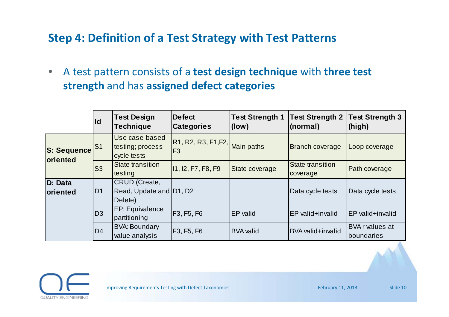### **Step 4: Definition of <sup>a</sup> Test Strategy with Test Patterns**

 $\bullet$  A test pattern consists of <sup>a</sup> **test design technique** with **three test strength** and has **assigned defect categories**

|                                       | $\mathsf{Id}$ | <b>Test Design</b><br><b>Technique</b>              | <b>Defect</b><br><b>Categories</b>                               | <b>Test Strength 1</b><br>(low) | <b>Test Strength 2</b><br>(normal)  | <b>Test Strength 3</b><br>(high)     |
|---------------------------------------|---------------|-----------------------------------------------------|------------------------------------------------------------------|---------------------------------|-------------------------------------|--------------------------------------|
| <b>S: Sequence</b><br><b>oriented</b> | IS1           | Use case-based<br>testing; process<br>cycle tests   | $\overline{ R1, R2, R3, F1, F2,  }$ Main paths<br>F <sub>3</sub> |                                 | <b>Branch coverage</b>              | Loop coverage                        |
| <b>S3</b>                             |               | <b>State transition</b><br>testing                  | 11, 12, F7, F8, F9                                               | State coverage                  | <b>State transition</b><br>coverage | Path coverage                        |
| D: Data<br><b>oriented</b>            | D1            | CRUD (Create,<br>Read, Update and D1, D2<br>Delete) |                                                                  |                                 | Data cycle tests                    | Data cycle tests                     |
|                                       | D3            | <b>EP: Equivalence</b><br>partitioning              | F <sub>3</sub> , F <sub>5</sub> , F <sub>6</sub>                 | EP valid                        | <b>EP</b> valid+invalid             | EP valid+invalid                     |
|                                       | D4            | <b>BVA: Boundary</b><br>value analysis              | F3, F5, F6                                                       | <b>BVA</b> valid                | BVA valid+invalid                   | <b>BVA</b> r values at<br>boundaries |

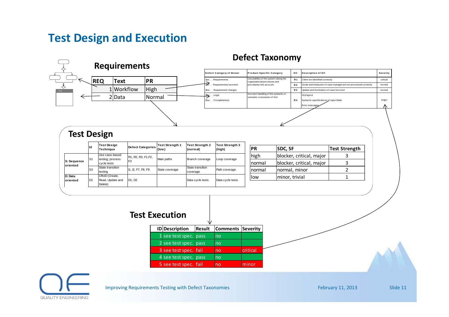### **Test Design and Execution**

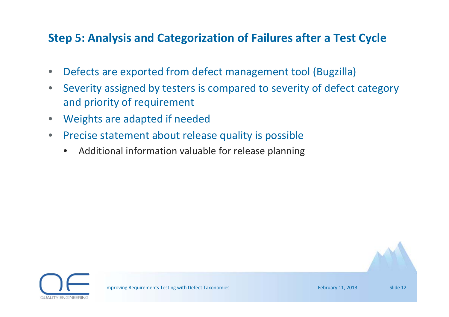### **Step 5: Analysis and Categorization of Failures after <sup>a</sup> Test Cycle**

- $\bullet$ Defects are exported from defect management tool (Bugzilla)
- $\bullet$  Severity assigned by testers is compared to severity of defect category and priority of requirement
- $\bullet$ Weights are adapted if needed
- $\bullet$ • Precise statement about release quality is possible
	- •Additional information valuable for release planning

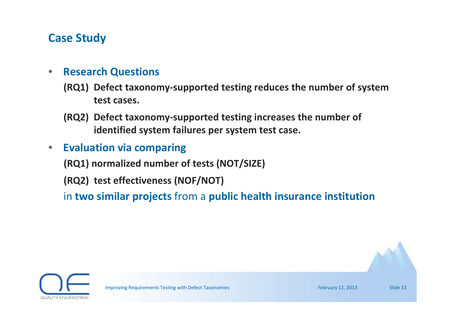### **Case Study**

#### •**Research Questions**

- **(RQ1) Defect taxonomy‐supported testing reduces the number of system test cases.**
- **(RQ2) Defect taxonomy‐supported testing increases the number of identified system failures per system test case.**
- $\bullet$ **Evaluation via comparing**

**(RQ1) normalized number of tests (NOT/SIZE)**

**(RQ2) test effectiveness (NOF/NOT)**

in **two similar projects** from <sup>a</sup> **public health insurance institution**

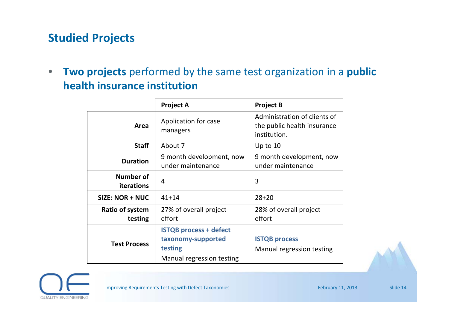### **Studied Projects**

• **Two projects** performed by the same test organization in <sup>a</sup> **public health insurance institution**

|                            | <b>Project A</b>                                                                            | <b>Project B</b>                                                            |  |  |
|----------------------------|---------------------------------------------------------------------------------------------|-----------------------------------------------------------------------------|--|--|
| Area                       | Application for case<br>managers                                                            | Administration of clients of<br>the public health insurance<br>institution. |  |  |
| <b>Staff</b>               | About 7                                                                                     | Up to $10$                                                                  |  |  |
| <b>Duration</b>            | 9 month development, now<br>under maintenance                                               | 9 month development, now<br>under maintenance                               |  |  |
| Number of<br>iterations    | 4                                                                                           | 3                                                                           |  |  |
| SIZE: NOR + NUC            | $41 + 14$                                                                                   | $28 + 20$                                                                   |  |  |
| Ratio of system<br>testing | 27% of overall project<br>effort                                                            | 28% of overall project<br>effort                                            |  |  |
| <b>Test Process</b>        | <b>ISTQB process + defect</b><br>taxonomy-supported<br>testing<br>Manual regression testing | <b>ISTQB process</b><br>Manual regression testing                           |  |  |



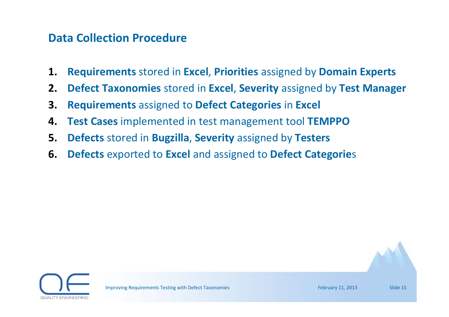### **Data Collection Procedure**

- **1.Requirements** stored in **Excel**, **Priorities** assigned by **Domain Experts**
- **2.Defect Taxonomies** stored in **Excel**, **Severity** assigned by **Test Manager**
- **3.Requirements** assigned to **Defect Categories** in **Excel**
- **4.Test Cases** implemented in test management tool **TEMPPO**
- **5.Defects** stored in **Bugzilla**, **Severity** assigned by **Testers**
- **6.Defects** exported to **Excel** and assigned to **Defect Categorie**<sup>s</sup>

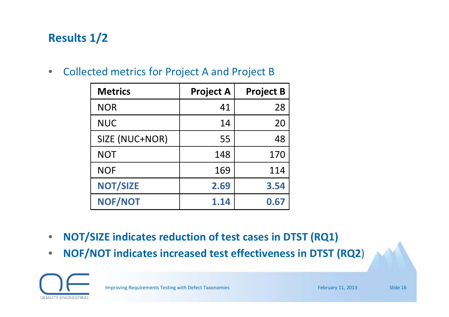### **Results 1/2**

 $\bullet$ Collected metrics for Project A and Project B

| <b>Metrics</b>  | <b>Project A</b> | <b>Project B</b> |
|-----------------|------------------|------------------|
| <b>NOR</b>      | 41               | 28               |
| <b>NUC</b>      | 14               | 20               |
| SIZE (NUC+NOR)  | 55               | 48               |
| <b>NOT</b>      | 148              | 170              |
| <b>NOF</b>      | 169              | 114              |
| <b>NOT/SIZE</b> | 2.69             | 3.54             |
| NOF/NOT         | 1.14             | 0.67             |

- $\bullet$ **NOT/SIZE indicates reduction of test cases in DTST (RQ1)**
- $\bullet$ **NOF/NOT indicates increased test effectiveness in DTST (RQ2**)

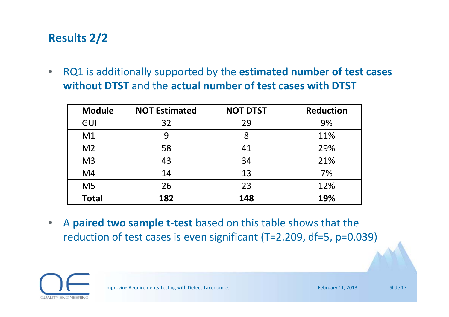### **Results 2/2**

 $\bullet$  RQ1 is additionally supported by the **estimated number of test cases without DTST** and the **actual number of test cases with DTST**

| <b>Module</b>  | <b>NOT Estimated</b> | <b>NOT DTST</b> | <b>Reduction</b> |
|----------------|----------------------|-----------------|------------------|
| GUI            | 32                   | 29              | 9%               |
| M1             | 9                    |                 | 11%              |
| M <sub>2</sub> | 58                   | 41              | 29%              |
| M <sub>3</sub> | 43                   | 34              | 21%              |
| M4             | 14                   | 13              | 7%               |
| M <sub>5</sub> | 26                   | 23              | 12%              |
| <b>Total</b>   | 182                  | 148             | 19%              |

 $\bullet$  A **paired two sample <sup>t</sup>‐test** based on this table shows that the reduction of test cases is even significant (T=2.209, df=5, p=0.039)

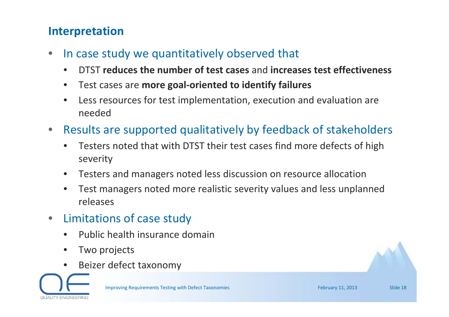### **Interpretation**

- •• In case study we quantitatively observed that
	- •DTST **reduces the number of test cases** and **increases test effectiveness**
	- •Test cases are **more goal‐oriented to identify failures**
	- • Less resources for test implementation, execution and evaluation are needed
- • Results are supported qualitatively by feedback of stakeholders
	- • Testers noted that with DTST their test cases find more defects of high severity
	- $\bullet$ Testers and managers noted less discussion on resource allocation
	- • Test managers noted more realistic severity values and less unplanned releases
- • Limitations of case study
	- •• Public health insurance domain
	- •• Two projects
	- •Beizer defect taxonomy

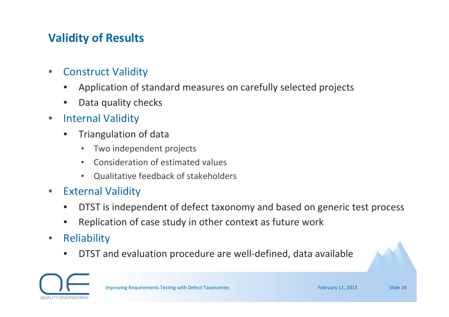### **Validity of Results**

- • Construct Validity
	- •Application of standard measures on carefully selected projects
	- •• Data quality checks
- $\bullet$  Internal Validity
	- • Triangulation of data
		- $\bullet$ Two independent projects
		- $\bullet$ Consideration of estimated values
		- $\bullet$ Qualitative feedback of stakeholders
- • External Validity
	- •DTST is independent of defect taxonomy and based on generic test process
	- •Replication of case study in other context as future work
- $\bullet$ **Reliability** 
	- •● DTST and evaluation procedure are well-defined, data available



Improving Requirements Testing with Defect Taxonomies February 11, 2013 Slide 19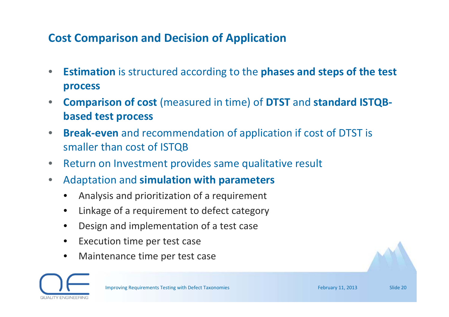### **Cost Comparison and Decision of Application**

- $\bullet$  **Estimation** is structured according to the **phases and steps of the test process**
- • **Comparison of cost** (measured in time) of **DTST** and **standard ISTQB‐ based test process**
- $\bullet$  **Break‐even** and recommendation of application if cost of DTST is smaller than cost of ISTQB
- $\bullet$ • Return on Investment provides same qualitative result
- $\bullet$  Adaptation and **simulation with parameters**
	- •Analysis and prioritization of <sup>a</sup> requirement
	- •Linkage of <sup>a</sup> requirement to defect category
	- •Design and implementation of <sup>a</sup> test case
	- •• Execution time per test case
	- •Maintenance time per test case

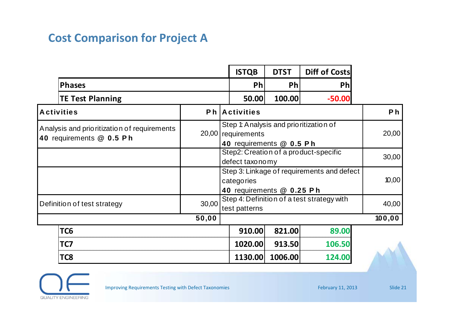### **Cost Comparison for Project A**

|                                                                                                                                                                     |       | <b>ISTQB</b>                                                | <b>DTST</b> | <b>Diff of Costs</b> |                |
|---------------------------------------------------------------------------------------------------------------------------------------------------------------------|-------|-------------------------------------------------------------|-------------|----------------------|----------------|
| <b>Phases</b>                                                                                                                                                       |       | <b>Ph</b>                                                   | Ph          | <b>Ph</b>            |                |
| <b>TE Test Planning</b>                                                                                                                                             |       | 50.00                                                       | 100.00      | $-50.00$             |                |
| <b>Activities</b>                                                                                                                                                   |       | <b>Ph</b> Activities                                        |             |                      | P <sub>h</sub> |
| Step 1: Analysis and prioritization of<br>Analysis and prioritization of requirements<br>20,00 requirements<br>40 requirements @ 0.5 Ph<br>40 requirements @ 0.5 Ph |       | 20,00                                                       |             |                      |                |
|                                                                                                                                                                     |       | Step2: Creation of a product-specific<br>defect taxonomy    |             |                      | 30,00          |
| Step 3: Linkage of requirements and defect<br>categories<br>40 requirements @ 0.25 Ph                                                                               |       | 10,00                                                       |             |                      |                |
| Definition of test strategy                                                                                                                                         | 30,00 | Step 4: Definition of a test strategy with<br>test patterns |             |                      | 40,00          |
|                                                                                                                                                                     | 50,00 |                                                             |             |                      | 100, 00        |
| TC <sub>6</sub>                                                                                                                                                     |       | 910.00                                                      | 821.00      | 89.00                |                |
| TC7                                                                                                                                                                 |       | 1020.00                                                     | 913.50      | 106.50               |                |
| TC8                                                                                                                                                                 |       | 1130.00                                                     | 1006.00     | 124.00               |                |

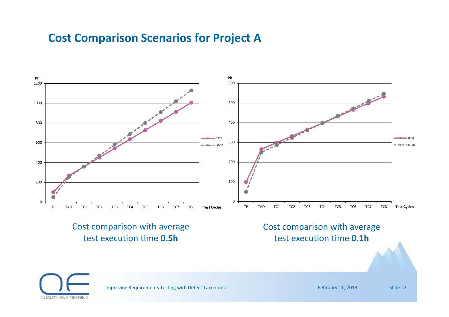### **Cost Comparison Scenarios for Project A**

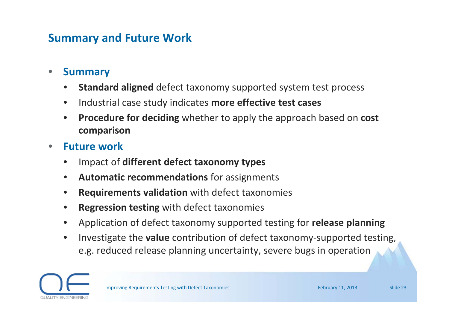### **Summary and Future Work**

- • **Summary**
	- •**Standard aligned** defect taxonomy supported system test process
	- •Industrial case study indicates **more effective test cases**
	- • **Procedure for deciding** whether to apply the approach based on **cost comparison**
- • **Future work**
	- •Impact of **different defect taxonomy types**
	- •**Automatic recommendations** for assignments
	- •**Requirements validation** with defect taxonomies
	- •**Regression testing** with defect taxonomies
	- •Application of defect taxonomy supported testing for **release planning**
	- • Investigate the **value** contribution of defect taxonomy‐supported testing, e.g. reduced release planning uncertainty, severe bugs in operation